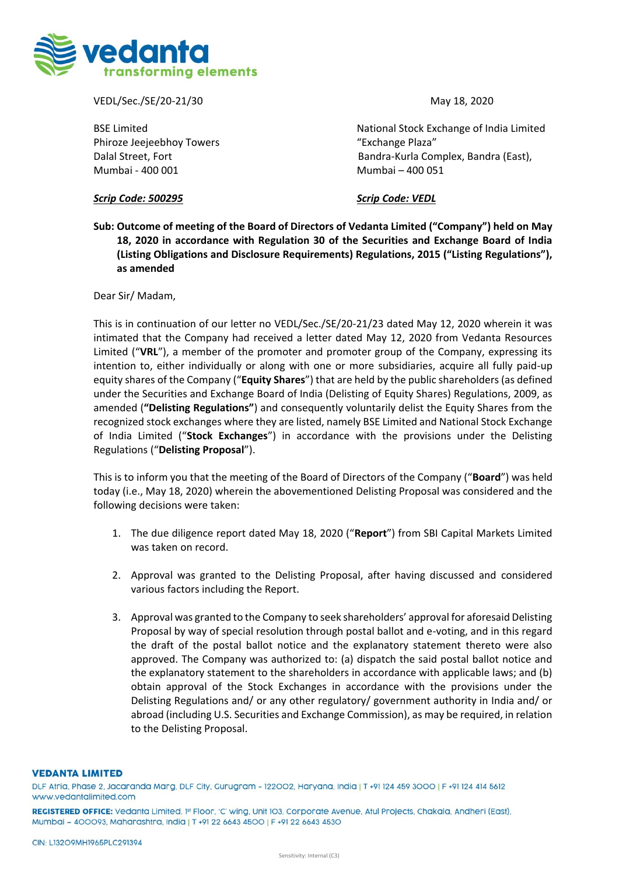

VEDL/Sec./SE/20-21/30 May 18, 2020

Phiroze Jeejeebhoy Towers The Communication of the "Exchange Plaza" Mumbai - 400 001 Mumbai – 400 051

BSE Limited National Stock Exchange of India Limited Dalal Street, Fort Bandra-Kurla Complex, Bandra (East),

## *Scrip Code: 500295 Scrip Code: VEDL*

**Sub: Outcome of meeting of the Board of Directors of Vedanta Limited ("Company") held on May 18, 2020 in accordance with Regulation 30 of the Securities and Exchange Board of India (Listing Obligations and Disclosure Requirements) Regulations, 2015 ("Listing Regulations"), as amended**

Dear Sir/ Madam,

This is in continuation of our letter no VEDL/Sec./SE/20-21/23 dated May 12, 2020 wherein it was intimated that the Company had received a letter dated May 12, 2020 from Vedanta Resources Limited ("**VRL**"), a member of the promoter and promoter group of the Company, expressing its intention to, either individually or along with one or more subsidiaries, acquire all fully paid-up equity shares of the Company ("**Equity Shares**") that are held by the public shareholders (as defined under the Securities and Exchange Board of India (Delisting of Equity Shares) Regulations, 2009, as amended (**"Delisting Regulations"**) and consequently voluntarily delist the Equity Shares from the recognized stock exchanges where they are listed, namely BSE Limited and National Stock Exchange of India Limited ("**Stock Exchanges**") in accordance with the provisions under the Delisting Regulations ("**Delisting Proposal**").

This is to inform you that the meeting of the Board of Directors of the Company ("**Board**") was held today (i.e., May 18, 2020) wherein the abovementioned Delisting Proposal was considered and the following decisions were taken:

- 1. The due diligence report dated May 18, 2020 ("**Report**") from SBI Capital Markets Limited was taken on record.
- 2. Approval was granted to the Delisting Proposal, after having discussed and considered various factors including the Report.
- 3. Approval was granted to the Company to seek shareholders' approval for aforesaid Delisting Proposal by way of special resolution through postal ballot and e-voting, and in this regard the draft of the postal ballot notice and the explanatory statement thereto were also approved. The Company was authorized to: (a) dispatch the said postal ballot notice and the explanatory statement to the shareholders in accordance with applicable laws; and (b) obtain approval of the Stock Exchanges in accordance with the provisions under the Delisting Regulations and/ or any other regulatory/ government authority in India and/ or abroad (including U.S. Securities and Exchange Commission), as may be required, in relation to the Delisting Proposal.

## **VEDANTA LIMITED**

DLF Atria, Phase 2, Jacaranda Marg, DLF City, Gurugram - 122002, Haryana, India | T +91 124 459 3000 | F +91 124 414 5612 www.vedantalimited.com

REGISTERED OFFICE: Vedanta Limited, 1st Floor, 'C' wing, Unit 103, Corporate Avenue, Atul Projects, Chakala, Andheri (East), Mumbai - 400093, Maharashtra, India | T +91 22 6643 4500 | F +91 22 6643 4530